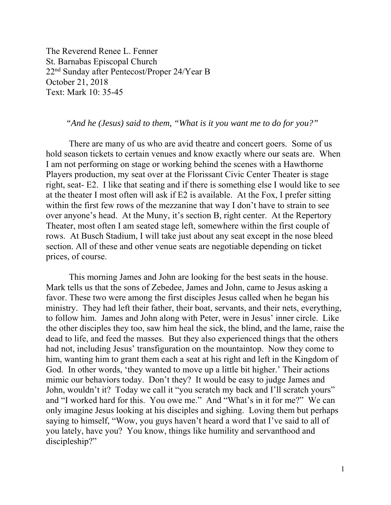The Reverend Renee L. Fenner St. Barnabas Episcopal Church 22nd Sunday after Pentecost/Proper 24/Year B October 21, 2018 Text: Mark 10: 35-45

 *"And he (Jesus) said to them, "What is it you want me to do for you?"* 

 There are many of us who are avid theatre and concert goers. Some of us hold season tickets to certain venues and know exactly where our seats are. When I am not performing on stage or working behind the scenes with a Hawthorne Players production, my seat over at the Florissant Civic Center Theater is stage right, seat- E2. I like that seating and if there is something else I would like to see at the theater I most often will ask if E2 is available. At the Fox, I prefer sitting within the first few rows of the mezzanine that way I don't have to strain to see over anyone's head. At the Muny, it's section B, right center. At the Repertory Theater, most often I am seated stage left, somewhere within the first couple of rows. At Busch Stadium, I will take just about any seat except in the nose bleed section. All of these and other venue seats are negotiable depending on ticket prices, of course.

 This morning James and John are looking for the best seats in the house. Mark tells us that the sons of Zebedee, James and John, came to Jesus asking a favor. These two were among the first disciples Jesus called when he began his ministry. They had left their father, their boat, servants, and their nets, everything, to follow him. James and John along with Peter, were in Jesus' inner circle. Like the other disciples they too, saw him heal the sick, the blind, and the lame, raise the dead to life, and feed the masses. But they also experienced things that the others had not, including Jesus' transfiguration on the mountaintop. Now they come to him, wanting him to grant them each a seat at his right and left in the Kingdom of God. In other words, 'they wanted to move up a little bit higher.' Their actions mimic our behaviors today. Don't they? It would be easy to judge James and John, wouldn't it? Today we call it "you scratch my back and I'll scratch yours" and "I worked hard for this. You owe me." And "What's in it for me?" We can only imagine Jesus looking at his disciples and sighing. Loving them but perhaps saying to himself, "Wow, you guys haven't heard a word that I've said to all of you lately, have you? You know, things like humility and servanthood and discipleship?"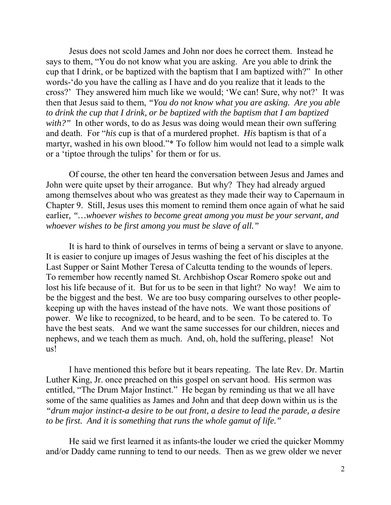Jesus does not scold James and John nor does he correct them. Instead he says to them, "You do not know what you are asking. Are you able to drink the cup that I drink, or be baptized with the baptism that I am baptized with?" In other words-'do you have the calling as I have and do you realize that it leads to the cross?' They answered him much like we would; 'We can! Sure, why not?' It was then that Jesus said to them, *"You do not know what you are asking. Are you able to drink the cup that I drink, or be baptized with the baptism that I am baptized with?"* In other words, to do as Jesus was doing would mean their own suffering and death. For "*his* cup is that of a murdered prophet. *His* baptism is that of a martyr, washed in his own blood."\* To follow him would not lead to a simple walk or a 'tiptoe through the tulips' for them or for us.

 Of course, the other ten heard the conversation between Jesus and James and John were quite upset by their arrogance. But why? They had already argued among themselves about who was greatest as they made their way to Capernaum in Chapter 9. Still, Jesus uses this moment to remind them once again of what he said earlier*, "…whoever wishes to become great among you must be your servant, and whoever wishes to be first among you must be slave of all."* 

 It is hard to think of ourselves in terms of being a servant or slave to anyone. It is easier to conjure up images of Jesus washing the feet of his disciples at the Last Supper or Saint Mother Teresa of Calcutta tending to the wounds of lepers. To remember how recently named St. Archbishop Oscar Romero spoke out and lost his life because of it. But for us to be seen in that light? No way! We aim to be the biggest and the best. We are too busy comparing ourselves to other peoplekeeping up with the haves instead of the have nots. We want those positions of power. We like to recognized, to be heard, and to be seen. To be catered to. To have the best seats. And we want the same successes for our children, nieces and nephews, and we teach them as much. And, oh, hold the suffering, please! Not us!

 I have mentioned this before but it bears repeating. The late Rev. Dr. Martin Luther King, Jr. once preached on this gospel on servant hood. His sermon was entitled, "The Drum Major Instinct." He began by reminding us that we all have some of the same qualities as James and John and that deep down within us is the *"drum major instinct-a desire to be out front, a desire to lead the parade, a desire to be first. And it is something that runs the whole gamut of life."*

He said we first learned it as infants-the louder we cried the quicker Mommy and/or Daddy came running to tend to our needs. Then as we grew older we never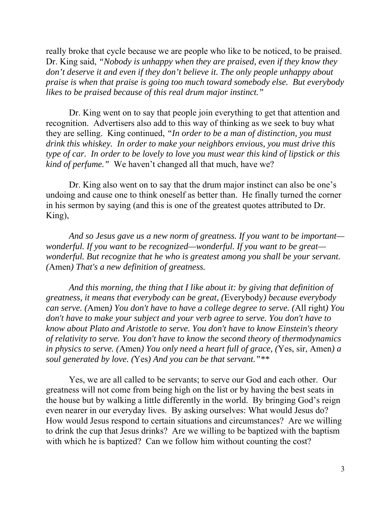really broke that cycle because we are people who like to be noticed, to be praised. Dr. King said, *"Nobody is unhappy when they are praised, even if they know they don't deserve it and even if they don't believe it. The only people unhappy about praise is when that praise is going too much toward somebody else. But everybody likes to be praised because of this real drum major instinct."*

Dr. King went on to say that people join everything to get that attention and recognition. Advertisers also add to this way of thinking as we seek to buy what they are selling. King continued, *"In order to be a man of distinction, you must drink this whiskey. In order to make your neighbors envious, you must drive this type of car. In order to be lovely to love you must wear this kind of lipstick or this kind of perfume."* We haven't changed all that much, have we?

Dr. King also went on to say that the drum major instinct can also be one's undoing and cause one to think oneself as better than. He finally turned the corner in his sermon by saying (and this is one of the greatest quotes attributed to Dr. King),

*And so Jesus gave us a new norm of greatness. If you want to be important wonderful. If you want to be recognized—wonderful. If you want to be great wonderful. But recognize that he who is greatest among you shall be your servant. (*Amen*) That's a new definition of greatness.* 

*And this morning, the thing that I like about it: by giving that definition of greatness, it means that everybody can be great, (*Everybody*) because everybody can serve. (*Amen*) You don't have to have a college degree to serve. (*All right*) You don't have to make your subject and your verb agree to serve. You don't have to know about Plato and Aristotle to serve. You don't have to know Einstein's theory of relativity to serve. You don't have to know the second theory of thermodynamics in physics to serve. (*Amen*) You only need a heart full of grace, (*Yes, sir, Amen*) a soul generated by love. (*Yes*) And you can be that servant."\*\** 

Yes, we are all called to be servants; to serve our God and each other. Our greatness will not come from being high on the list or by having the best seats in the house but by walking a little differently in the world. By bringing God's reign even nearer in our everyday lives. By asking ourselves: What would Jesus do? How would Jesus respond to certain situations and circumstances? Are we willing to drink the cup that Jesus drinks? Are we willing to be baptized with the baptism with which he is baptized? Can we follow him without counting the cost?